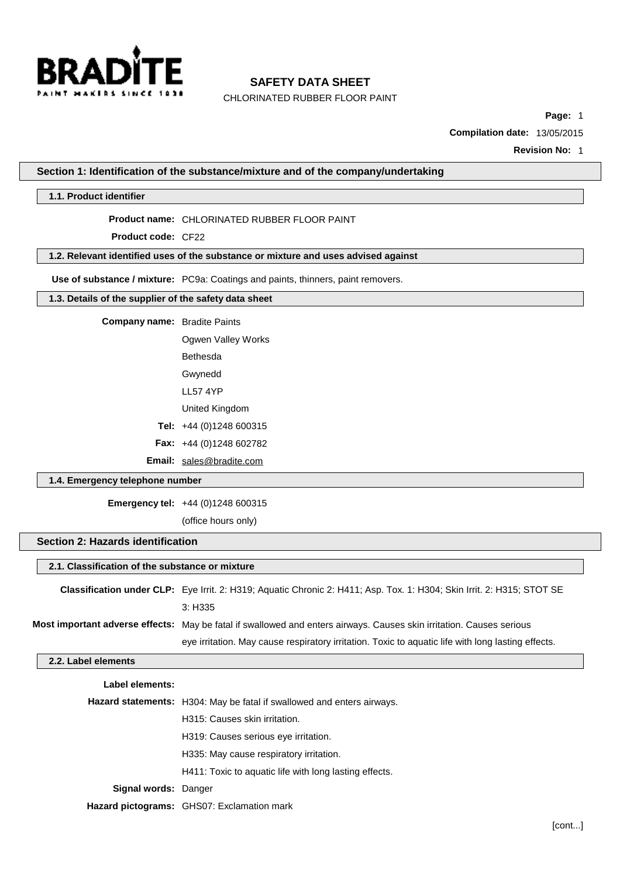

CHLORINATED RUBBER FLOOR PAINT

**Page:** 1

**Compilation date:** 13/05/2015

**Revision No:** 1

**Section 1: Identification of the substance/mixture and of the company/undertaking**

### **1.1. Product identifier**

### **Product name:** CHLORINATED RUBBER FLOOR PAINT

**Product code:** CF22

# **1.2. Relevant identified uses of the substance or mixture and uses advised against**

**Use of substance / mixture:** PC9a: Coatings and paints, thinners, paint removers.

## **1.3. Details of the supplier of the safety data sheet**

# **Company name:** Bradite Paints

Ogwen Valley Works Bethesda

- Gwynedd
- LL57 4YP
- United Kingdom
- **Tel:** +44 (0)1248 600315
- **Fax:** +44 (0)1248 602782
- **Email:** sales@bradite.com

## **1.4. Emergency telephone number**

**Emergency tel:** +44 (0)1248 600315

(office hours only)

# **Section 2: Hazards identification**

# **2.1. Classification of the substance or mixture**

| <b>Classification under CLP:</b> Eye Irrit. 2: H319; Aquatic Chronic 2: H411; Asp. Tox. 1: H304; Skin Irrit. 2: H315; STOT SE |
|-------------------------------------------------------------------------------------------------------------------------------|
| 3: H335                                                                                                                       |
| Most important adverse effects: May be fatal if swallowed and enters airways. Causes skin irritation. Causes serious          |
| eye irritation. May cause respiratory irritation. Toxic to aquatic life with long lasting effects.                            |

### **2.2. Label elements**

| Label elements:      |                                                                               |
|----------------------|-------------------------------------------------------------------------------|
|                      | <b>Hazard statements:</b> H304: May be fatal if swallowed and enters airways. |
|                      | H315: Causes skin irritation.                                                 |
|                      | H319: Causes serious eye irritation.                                          |
|                      | H335: May cause respiratory irritation.                                       |
|                      | H411: Toxic to aguatic life with long lasting effects.                        |
| Signal words: Danger |                                                                               |
|                      | <b>Hazard pictograms:</b> GHS07: Exclamation mark                             |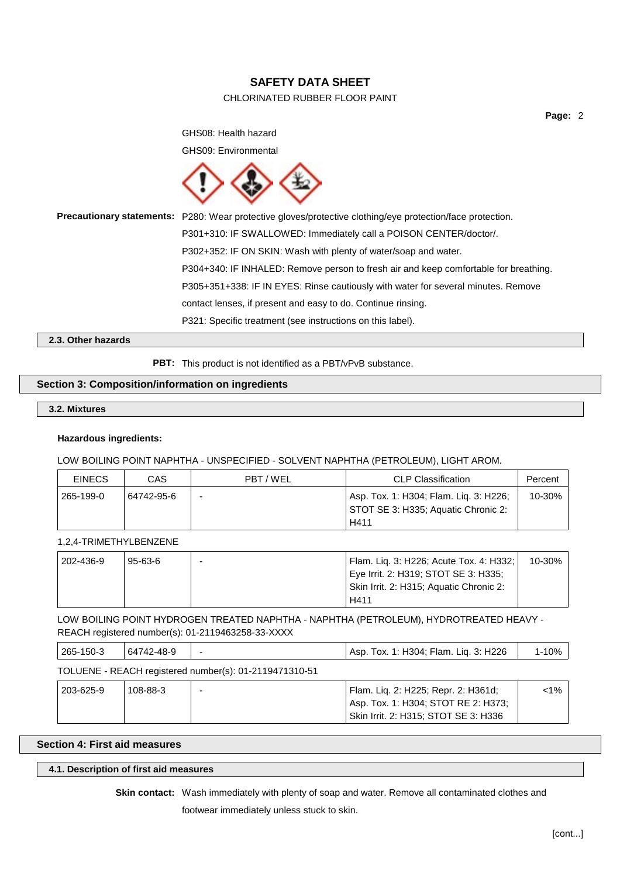# CHLORINATED RUBBER FLOOR PAINT

**Page:** 2

GHS08: Health hazard

GHS09: Environmental



**Precautionary statements:** P280: Wear protective gloves/protective clothing/eye protection/face protection. P301+310: IF SWALLOWED: Immediately call a POISON CENTER/doctor/. P302+352: IF ON SKIN: Wash with plenty of water/soap and water. P304+340: IF INHALED: Remove person to fresh air and keep comfortable for breathing. P305+351+338: IF IN EYES: Rinse cautiously with water for several minutes. Remove contact lenses, if present and easy to do. Continue rinsing. P321: Specific treatment (see instructions on this label).

## **2.3. Other hazards**

**PBT:** This product is not identified as a PBT/vPvB substance.

# **Section 3: Composition/information on ingredients**

## **3.2. Mixtures**

## **Hazardous ingredients:**

LOW BOILING POINT NAPHTHA - UNSPECIFIED - SOLVENT NAPHTHA (PETROLEUM), LIGHT AROM.

| <b>EINECS</b> | CAS        | PBT/WEL | CLP Classification                                                            | Percent |
|---------------|------------|---------|-------------------------------------------------------------------------------|---------|
| 265-199-0     | 64742-95-6 | -       | Asp. Tox. 1: H304; Flam. Lig. 3: H226;<br>STOT SE 3: H335; Aquatic Chronic 2: |         |
|               |            |         | H411                                                                          |         |

1,2,4-TRIMETHYLBENZENE

| 202-436-9 | $95 - 63 - 6$ | Flam. Lig. 3: H226; Acute Tox. 4: H332; | 10-30% |
|-----------|---------------|-----------------------------------------|--------|
|           |               | Eye Irrit. 2: H319; STOT SE 3: H335;    |        |
|           |               | Skin Irrit. 2: H315; Aquatic Chronic 2: |        |
|           |               | H411                                    |        |

# LOW BOILING POINT HYDROGEN TREATED NAPHTHA - NAPHTHA (PETROLEUM), HYDROTREATED HEAVY - REACH registered number(s): 01-2119463258-33-XXXX

| 265-150-3 | 64742-48-9     |                                                        | Asp. Tox. 1: H304; Flam. Lig. 3: H226 | 1-10%   |
|-----------|----------------|--------------------------------------------------------|---------------------------------------|---------|
|           |                | TOLUENE - REACH registered number(s): 01-2119471310-51 |                                       |         |
| 203-625-9 | $108 - 88 - 3$ |                                                        | Flam. Lig. 2: H225; Repr. 2: H361d;   | $< 1\%$ |
|           |                |                                                        | Asp. Tox. 1: H304; STOT RE 2: H373;   |         |

## **Section 4: First aid measures**

### **4.1. Description of first aid measures**

**Skin contact:** Wash immediately with plenty of soap and water. Remove all contaminated clothes and

Skin Irrit. 2: H315; STOT SE 3: H336

footwear immediately unless stuck to skin.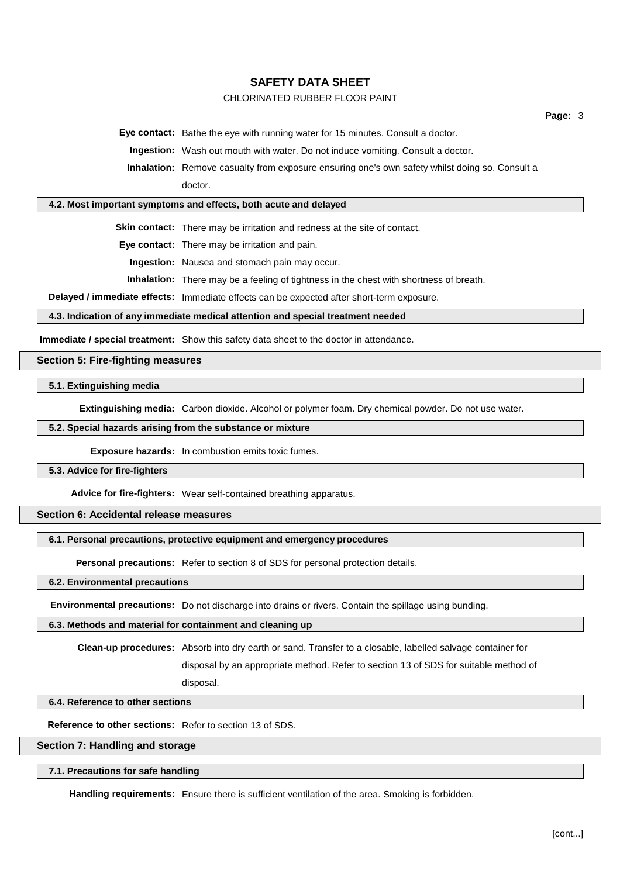# CHLORINATED RUBBER FLOOR PAINT

**Eye contact:** Bathe the eye with running water for 15 minutes. Consult a doctor.

**Ingestion:** Wash out mouth with water. Do not induce vomiting. Consult a doctor.

**Inhalation:** Remove casualty from exposure ensuring one's own safety whilst doing so. Consult a doctor.

### **4.2. Most important symptoms and effects, both acute and delayed**

**Skin contact:** There may be irritation and redness at the site of contact.

**Eye contact:** There may be irritation and pain.

**Ingestion:** Nausea and stomach pain may occur.

**Inhalation:** There may be a feeling of tightness in the chest with shortness of breath.

**Delayed / immediate effects:** Immediate effects can be expected after short-term exposure.

**4.3. Indication of any immediate medical attention and special treatment needed**

**Immediate / special treatment:** Show this safety data sheet to the doctor in attendance.

## **Section 5: Fire-fighting measures**

### **5.1. Extinguishing media**

**Extinguishing media:** Carbon dioxide. Alcohol or polymer foam. Dry chemical powder. Do not use water.

## **5.2. Special hazards arising from the substance or mixture**

**Exposure hazards:** In combustion emits toxic fumes.

### **5.3. Advice for fire-fighters**

**Advice for fire-fighters:** Wear self-contained breathing apparatus.

# **Section 6: Accidental release measures**

### **6.1. Personal precautions, protective equipment and emergency procedures**

**Personal precautions:** Refer to section 8 of SDS for personal protection details.

### **6.2. Environmental precautions**

**Environmental precautions:** Do not discharge into drains or rivers. Contain the spillage using bunding.

### **6.3. Methods and material for containment and cleaning up**

**Clean-up procedures:** Absorb into dry earth or sand. Transfer to a closable, labelled salvage container for

disposal by an appropriate method. Refer to section 13 of SDS for suitable method of

disposal.

## **6.4. Reference to other sections**

**Reference to other sections:** Refer to section 13 of SDS.

### **Section 7: Handling and storage**

### **7.1. Precautions for safe handling**

**Handling requirements:** Ensure there is sufficient ventilation of the area. Smoking is forbidden.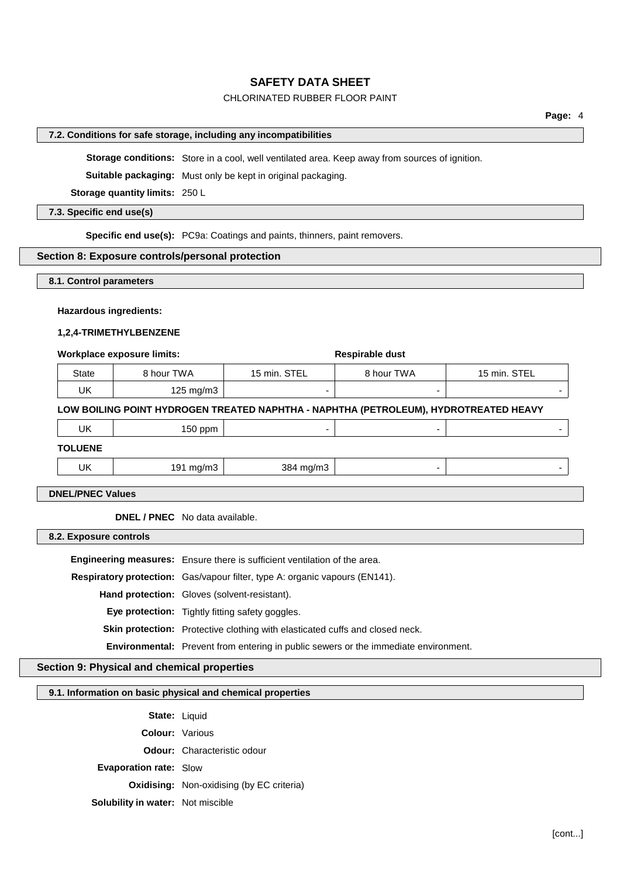# CHLORINATED RUBBER FLOOR PAINT

### **7.2. Conditions for safe storage, including any incompatibilities**

**Storage conditions:** Store in a cool, well ventilated area. Keep away from sources of ignition.

**Suitable packaging:** Must only be kept in original packaging.

**Storage quantity limits:** 250 L

## **7.3. Specific end use(s)**

**Specific end use(s):** PC9a: Coatings and paints, thinners, paint removers.

# **Section 8: Exposure controls/personal protection**

**8.1. Control parameters**

### **Hazardous ingredients:**

### **1,2,4-TRIMETHYLBENZENE**

#### **Workplace exposure limits: Respirable** dust

| State | 8 hour TWA | 15 min. STEL | 8 hour TWA | STEL<br>15 min. |
|-------|------------|--------------|------------|-----------------|
| UK    | 125 mg/m3  |              |            |                 |

### **LOW BOILING POINT HYDROGEN TREATED NAPHTHA - NAPHTHA (PETROLEUM), HYDROTREATED HEAVY**

| UK             | $150$ ppm | $\overline{\phantom{0}}$ |  |
|----------------|-----------|--------------------------|--|
| <b>TOLUENE</b> |           |                          |  |

# UK 191 mg/m3 384 mg/m3 - -

### **DNEL/PNEC Values**

### **DNEL / PNEC** No data available.

**8.2. Exposure controls**

|   | <b>Engineering measures:</b> Ensure there is sufficient ventilation of the area.           |
|---|--------------------------------------------------------------------------------------------|
|   | <b>Respiratory protection:</b> Gas/vapour filter, type A: organic vapours (EN141).         |
|   | <b>Hand protection:</b> Gloves (solvent-resistant).                                        |
|   | Eye protection: Tightly fitting safety goggles.                                            |
|   | <b>Skin protection:</b> Protective clothing with elasticated cuffs and closed neck.        |
|   | <b>Environmental:</b> Prevent from entering in public sewers or the immediate environment. |
| . |                                                                                            |

# **Section 9: Physical and chemical properties**

### **9.1. Information on basic physical and chemical properties**

**State:** Liquid

**Colour:** Various

**Odour:** Characteristic odour

**Evaporation rate:** Slow

**Oxidising:** Non-oxidising (by EC criteria)

**Solubility in water:** Not miscible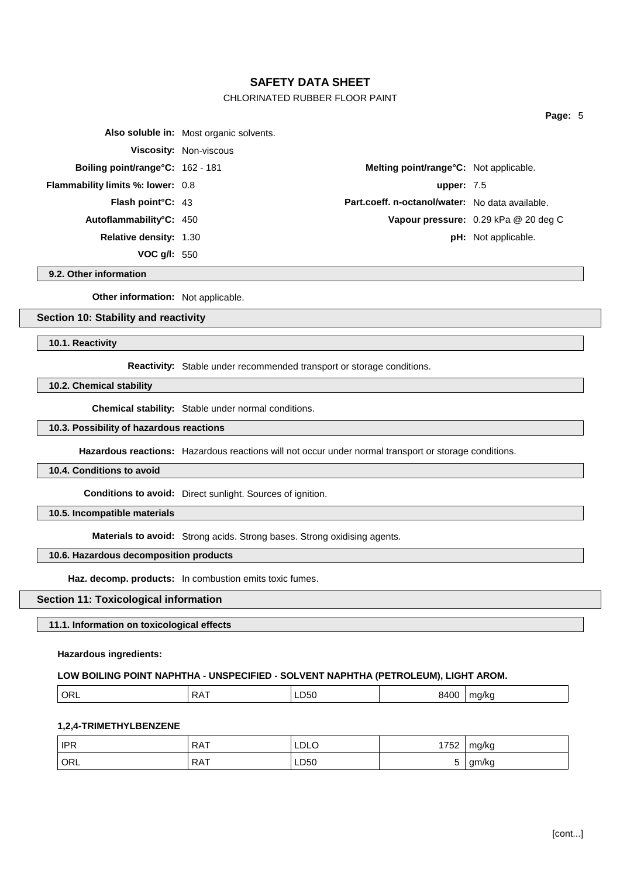# CHLORINATED RUBBER FLOOR PAINT

|                                          | Also soluble in: Most organic solvents. |                                                 |                                      |
|------------------------------------------|-----------------------------------------|-------------------------------------------------|--------------------------------------|
|                                          | <b>Viscosity: Non-viscous</b>           |                                                 |                                      |
| <b>Boiling point/range °C:</b> 162 - 181 |                                         | <b>Melting point/range °C:</b> Not applicable.  |                                      |
| <b>Flammability limits %: lower:</b> 0.8 |                                         | upper: $7.5$                                    |                                      |
| <b>Flash point C: 43</b>                 |                                         | Part.coeff. n-octanol/water: No data available. |                                      |
| Autoflammability°C: 450                  |                                         |                                                 | Vapour pressure: 0.29 kPa @ 20 deg C |
| <b>Relative density: 1.30</b>            |                                         |                                                 | <b>pH:</b> Not applicable.           |
| VOC $g/l: 550$                           |                                         |                                                 |                                      |

**9.2. Other information**

**Other information:** Not applicable.

# **Section 10: Stability and reactivity**

**10.1. Reactivity**

**Reactivity:** Stable under recommended transport or storage conditions.

**10.2. Chemical stability**

**Chemical stability:** Stable under normal conditions.

# **10.3. Possibility of hazardous reactions**

**Hazardous reactions:** Hazardous reactions will not occur under normal transport or storage conditions.

### **10.4. Conditions to avoid**

**Conditions to avoid:** Direct sunlight. Sources of ignition.

**10.5. Incompatible materials**

**Materials to avoid:** Strong acids. Strong bases. Strong oxidising agents.

# **10.6. Hazardous decomposition products**

**Haz. decomp. products:** In combustion emits toxic fumes.

## **Section 11: Toxicological information**

**11.1. Information on toxicological effects**

**Hazardous ingredients:**

### **LOW BOILING POINT NAPHTHA - UNSPECIFIED - SOLVENT NAPHTHA (PETROLEUM), LIGHT AROM.**

| ORL | $\cdot \sqrt{2}$ | LD50 -<br>$- - -$ | ждι | $\cdots$<br>m<br>- 1<br>. . |
|-----|------------------|-------------------|-----|-----------------------------|
|     |                  |                   |     |                             |

# **1,2,4-TRIMETHYLBENZENE**

| <b>IPR</b> | <b>RAT</b> | LDLO | 1752 | mg/kg |
|------------|------------|------|------|-------|
| ORL        | RAT        | LD50 | ັ    | am/ka |

**Page:** 5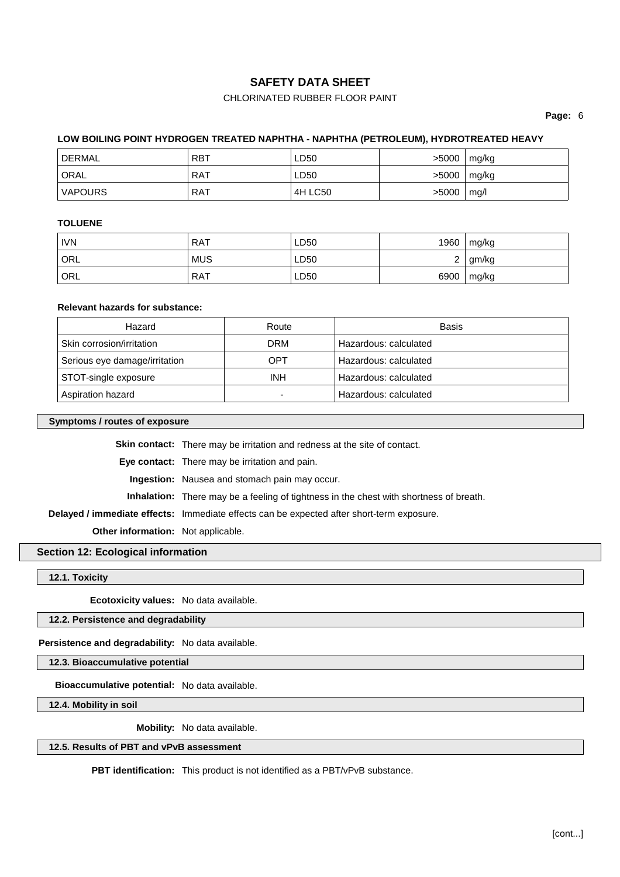# CHLORINATED RUBBER FLOOR PAINT

**Page:** 6

## **LOW BOILING POINT HYDROGEN TREATED NAPHTHA - NAPHTHA (PETROLEUM), HYDROTREATED HEAVY**

| <b>DERMAL</b>  | <b>RBT</b> | LD50    | >5000 | mg/kg |
|----------------|------------|---------|-------|-------|
| ' ORAL         | <b>RAT</b> | LD50    | >5000 | mg/kg |
| <b>VAPOURS</b> | RAT        | 4H LC50 | >5000 | mq/l  |

# **TOLUENE**

| <b>IVN</b> | RAT        | LD50 | 1960     | mg/kg |
|------------|------------|------|----------|-------|
| ORL        | <b>MUS</b> | LD50 | <u>_</u> | gm/kg |
| ORL        | RAT        | LD50 | 6900     | mg/kg |

## **Relevant hazards for substance:**

| Hazard                        | Route      | Basis                 |
|-------------------------------|------------|-----------------------|
| Skin corrosion/irritation     | DRM        | Hazardous: calculated |
| Serious eye damage/irritation | OPT        | Hazardous: calculated |
| STOT-single exposure          | <b>INH</b> | Hazardous: calculated |
| Aspiration hazard             |            | Hazardous: calculated |

### **Symptoms / routes of exposure**

**Skin contact:** There may be irritation and redness at the site of contact.

**Eye contact:** There may be irritation and pain.

**Ingestion:** Nausea and stomach pain may occur.

**Inhalation:** There may be a feeling of tightness in the chest with shortness of breath.

**Delayed / immediate effects:** Immediate effects can be expected after short-term exposure.

**Other information:** Not applicable.

## **Section 12: Ecological information**

**12.1. Toxicity**

**Ecotoxicity values:** No data available.

**12.2. Persistence and degradability**

**Persistence and degradability:** No data available.

**12.3. Bioaccumulative potential**

**Bioaccumulative potential:** No data available.

**12.4. Mobility in soil**

**Mobility:** No data available.

# **12.5. Results of PBT and vPvB assessment**

**PBT identification:** This product is not identified as a PBT/vPvB substance.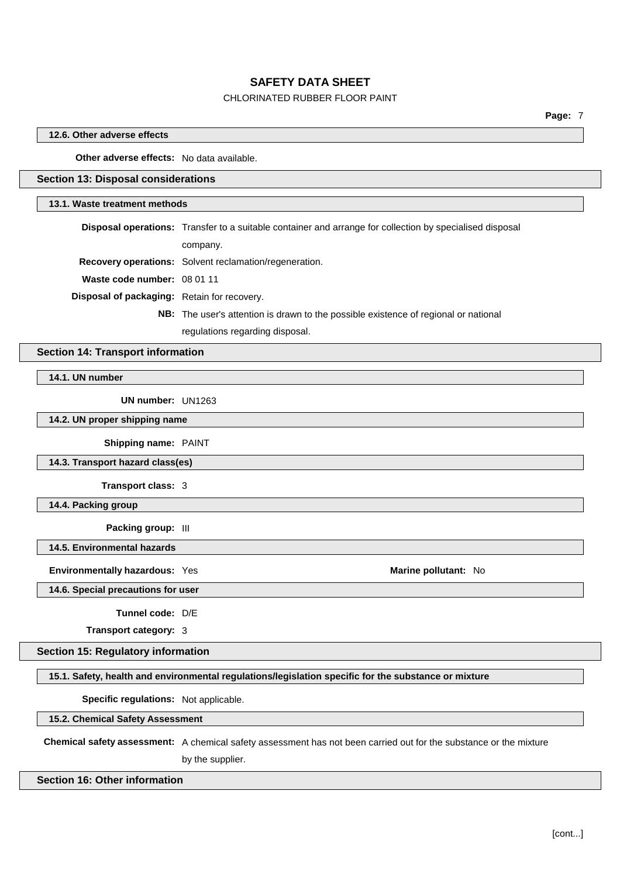# CHLORINATED RUBBER FLOOR PAINT

## **12.6. Other adverse effects**

**Other adverse effects:** No data available.

# **Section 13: Disposal considerations**

### **13.1. Waste treatment methods**

| <b>Disposal operations:</b> Transfer to a suitable container and arrange for collection by specialised disposal |  |  |
|-----------------------------------------------------------------------------------------------------------------|--|--|
| company.                                                                                                        |  |  |
| <b>Recovery operations:</b> Solvent reclamation/regeneration.                                                   |  |  |
| Waste code number: 08 01 11                                                                                     |  |  |
| <b>Disposal of packaging:</b> Retain for recovery.                                                              |  |  |
| <b>NB:</b> The user's attention is drawn to the possible existence of regional or national                      |  |  |
|                                                                                                                 |  |  |

regulations regarding disposal.

# **Section 14: Transport information**

**14.1. UN number**

**UN number:** UN1263

## **14.2. UN proper shipping name**

**Shipping name:** PAINT

**14.3. Transport hazard class(es)**

**Transport class:** 3

**14.4. Packing group**

**Packing group:** III

### **14.5. Environmental hazards**

**Environmentally hazardous:** Yes **Marine Marine pollutant:** No

## **14.6. Special precautions for user**

**Tunnel code:** D/E

**Transport category:** 3

## **Section 15: Regulatory information**

**15.1. Safety, health and environmental regulations/legislation specific for the substance or mixture**

**Specific regulations:** Not applicable.

**15.2. Chemical Safety Assessment**

**Chemical safety assessment:** A chemical safety assessment has not been carried out for the substance or the mixture by the supplier.

### **Section 16: Other information**